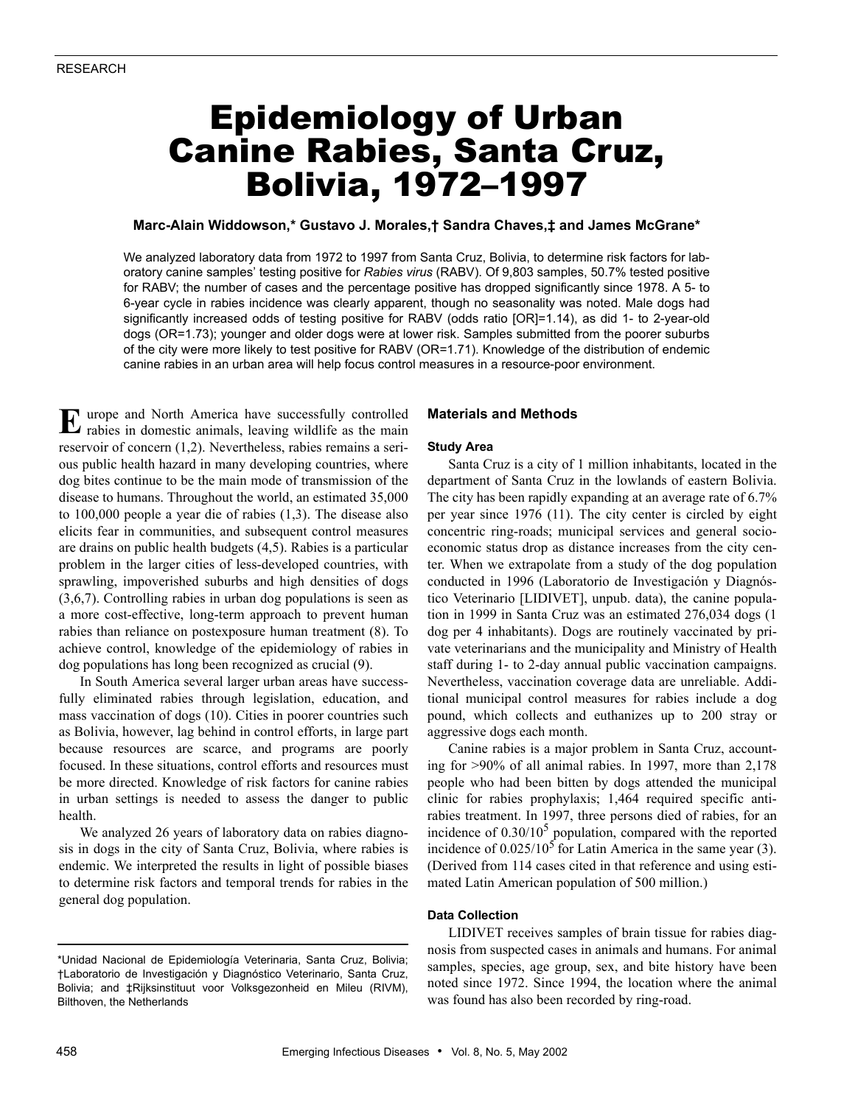# Epidemiology of Urban Canine Rabies, Santa Cruz, Bolivia, 1972–1997

# **Marc-Alain Widdowson,\* Gustavo J. Morales,† Sandra Chaves,‡ and James McGrane\***

We analyzed laboratory data from 1972 to 1997 from Santa Cruz, Bolivia, to determine risk factors for laboratory canine samples' testing positive for *Rabies virus* (RABV). Of 9,803 samples, 50.7% tested positive for RABV; the number of cases and the percentage positive has dropped significantly since 1978. A 5- to 6-year cycle in rabies incidence was clearly apparent, though no seasonality was noted. Male dogs had significantly increased odds of testing positive for RABV (odds ratio [OR]=1.14), as did 1- to 2-year-old dogs (OR=1.73); younger and older dogs were at lower risk. Samples submitted from the poorer suburbs of the city were more likely to test positive for RABV (OR=1.71). Knowledge of the distribution of endemic canine rabies in an urban area will help focus control measures in a resource-poor environment.

urope and North America have successfully controlled E urope and North America have successfully controlled rabies in domestic animals, leaving wildlife as the main reservoir of concern (1,2). Nevertheless, rabies remains a serious public health hazard in many developing countries, where dog bites continue to be the main mode of transmission of the disease to humans. Throughout the world, an estimated 35,000 to 100,000 people a year die of rabies (1,3). The disease also elicits fear in communities, and subsequent control measures are drains on public health budgets (4,5). Rabies is a particular problem in the larger cities of less-developed countries, with sprawling, impoverished suburbs and high densities of dogs (3,6,7). Controlling rabies in urban dog populations is seen as a more cost-effective, long-term approach to prevent human rabies than reliance on postexposure human treatment (8). To achieve control, knowledge of the epidemiology of rabies in dog populations has long been recognized as crucial (9).

In South America several larger urban areas have successfully eliminated rabies through legislation, education, and mass vaccination of dogs (10). Cities in poorer countries such as Bolivia, however, lag behind in control efforts, in large part because resources are scarce, and programs are poorly focused. In these situations, control efforts and resources must be more directed. Knowledge of risk factors for canine rabies in urban settings is needed to assess the danger to public health.

We analyzed 26 years of laboratory data on rabies diagnosis in dogs in the city of Santa Cruz, Bolivia, where rabies is endemic. We interpreted the results in light of possible biases to determine risk factors and temporal trends for rabies in the general dog population.

## **Materials and Methods**

#### **Study Area**

Santa Cruz is a city of 1 million inhabitants, located in the department of Santa Cruz in the lowlands of eastern Bolivia. The city has been rapidly expanding at an average rate of 6.7% per year since 1976 (11). The city center is circled by eight concentric ring-roads; municipal services and general socioeconomic status drop as distance increases from the city center. When we extrapolate from a study of the dog population conducted in 1996 (Laboratorio de Investigación y Diagnóstico Veterinario [LIDIVET], unpub. data), the canine population in 1999 in Santa Cruz was an estimated 276,034 dogs (1 dog per 4 inhabitants). Dogs are routinely vaccinated by private veterinarians and the municipality and Ministry of Health staff during 1- to 2-day annual public vaccination campaigns. Nevertheless, vaccination coverage data are unreliable. Additional municipal control measures for rabies include a dog pound, which collects and euthanizes up to 200 stray or aggressive dogs each month.

Canine rabies is a major problem in Santa Cruz, accounting for >90% of all animal rabies. In 1997, more than 2,178 people who had been bitten by dogs attended the municipal clinic for rabies prophylaxis; 1,464 required specific antirabies treatment. In 1997, three persons died of rabies, for an incidence of  $0.30/10^5$  population, compared with the reported incidence of  $0.025/10^5$  for Latin America in the same year (3). (Derived from 114 cases cited in that reference and using estimated Latin American population of 500 million.)

# **Data Collection**

LIDIVET receives samples of brain tissue for rabies diagnosis from suspected cases in animals and humans. For animal samples, species, age group, sex, and bite history have been noted since 1972. Since 1994, the location where the animal was found has also been recorded by ring-road.

<sup>\*</sup>Unidad Nacional de Epidemiología Veterinaria, Santa Cruz, Bolivia; †Laboratorio de Investigación y Diagnóstico Veterinario, Santa Cruz, Bolivia; and ‡Rijksinstituut voor Volksgezonheid en Mileu (RIVM), Bilthoven, the Netherlands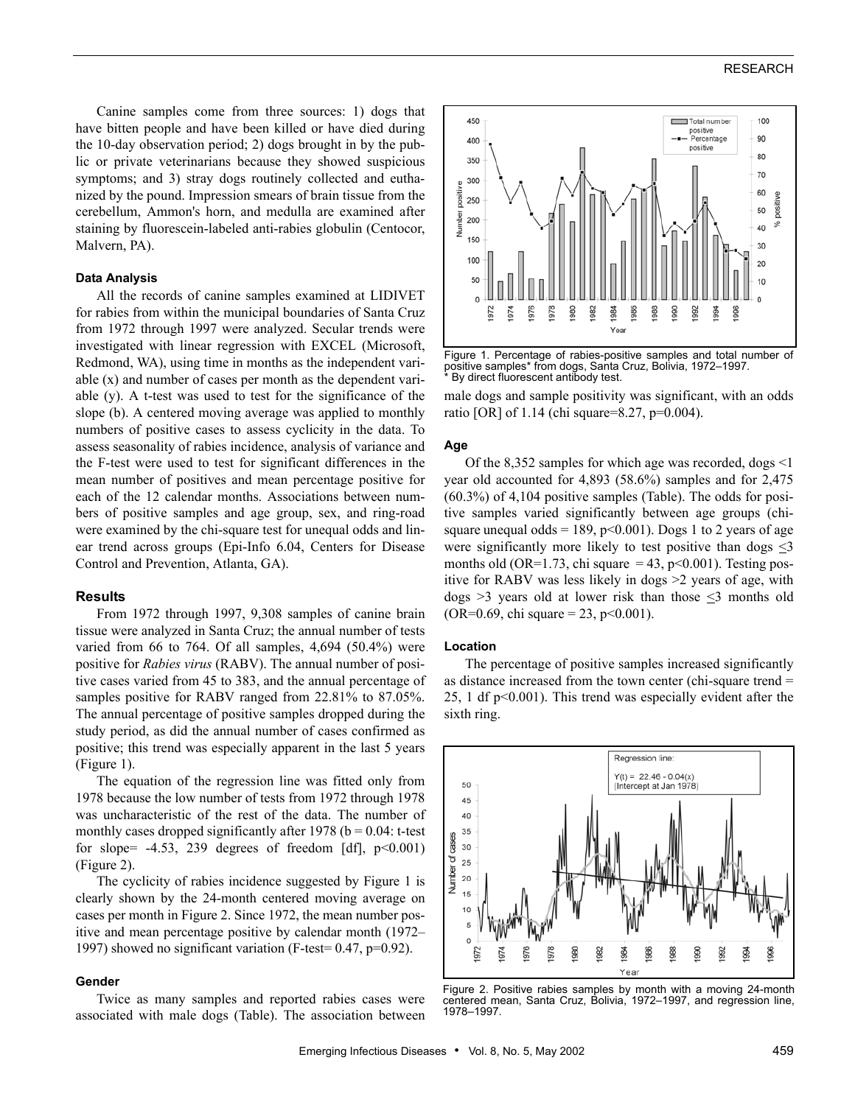# RESEARCH

Canine samples come from three sources: 1) dogs that have bitten people and have been killed or have died during the 10-day observation period; 2) dogs brought in by the public or private veterinarians because they showed suspicious symptoms; and 3) stray dogs routinely collected and euthanized by the pound. Impression smears of brain tissue from the cerebellum, Ammon's horn, and medulla are examined after staining by fluorescein-labeled anti-rabies globulin (Centocor, Malvern, PA).

### **Data Analysis**

All the records of canine samples examined at LIDIVET for rabies from within the municipal boundaries of Santa Cruz from 1972 through 1997 were analyzed. Secular trends were investigated with linear regression with EXCEL (Microsoft, Redmond, WA), using time in months as the independent variable (x) and number of cases per month as the dependent variable (y). A t-test was used to test for the significance of the slope (b). A centered moving average was applied to monthly numbers of positive cases to assess cyclicity in the data. To assess seasonality of rabies incidence, analysis of variance and the F-test were used to test for significant differences in the mean number of positives and mean percentage positive for each of the 12 calendar months. Associations between numbers of positive samples and age group, sex, and ring-road were examined by the chi-square test for unequal odds and linear trend across groups (Epi-Info 6.04, Centers for Disease Control and Prevention, Atlanta, GA).

### **Results**

From 1972 through 1997, 9,308 samples of canine brain tissue were analyzed in Santa Cruz; the annual number of tests varied from 66 to 764. Of all samples, 4,694 (50.4%) were positive for *Rabies virus* (RABV). The annual number of positive cases varied from 45 to 383, and the annual percentage of samples positive for RABV ranged from 22.81% to 87.05%. The annual percentage of positive samples dropped during the study period, as did the annual number of cases confirmed as positive; this trend was especially apparent in the last 5 years (Figure 1).

The equation of the regression line was fitted only from 1978 because the low number of tests from 1972 through 1978 was uncharacteristic of the rest of the data. The number of monthly cases dropped significantly after 1978 ( $b = 0.04$ : t-test for slope=  $-4.53$ , 239 degrees of freedom [df],  $p<0.001$ ) (Figure 2).

The cyclicity of rabies incidence suggested by Figure 1 is clearly shown by the 24-month centered moving average on cases per month in Figure 2. Since 1972, the mean number positive and mean percentage positive by calendar month (1972– 1997) showed no significant variation (F-test= 0.47, p=0.92).

# **Gender**

Twice as many samples and reported rabies cases were associated with male dogs (Table). The association between



Figure 1. Percentage of rabies-positive samples and total number of positive samples\* from dogs, Santa Cruz, Bolivia, 1972–1997. By direct fluorescent antibody test.

male dogs and sample positivity was significant, with an odds ratio [OR] of 1.14 (chi square=8.27, p=0.004).

#### **Age**

Of the 8,352 samples for which age was recorded, dogs <1 year old accounted for 4,893 (58.6%) samples and for 2,475 (60.3%) of 4,104 positive samples (Table). The odds for positive samples varied significantly between age groups (chisquare unequal odds = 189,  $p<0.001$ ). Dogs 1 to 2 years of age were significantly more likely to test positive than dogs <3 months old (OR=1.73, chi square = 43, p<0.001). Testing positive for RABV was less likely in dogs >2 years of age, with dogs  $>3$  years old at lower risk than those  $\leq 3$  months old (OR=0.69, chi square = 23, p<0.001).

#### **Location**

The percentage of positive samples increased significantly as distance increased from the town center (chi-square trend = 25, 1 df p<0.001). This trend was especially evident after the sixth ring.



Figure 2. Positive rabies samples by month with a moving 24-month centered mean, Santa Cruz, Bolivia, 1972-1997, and regression line, 1978–1997.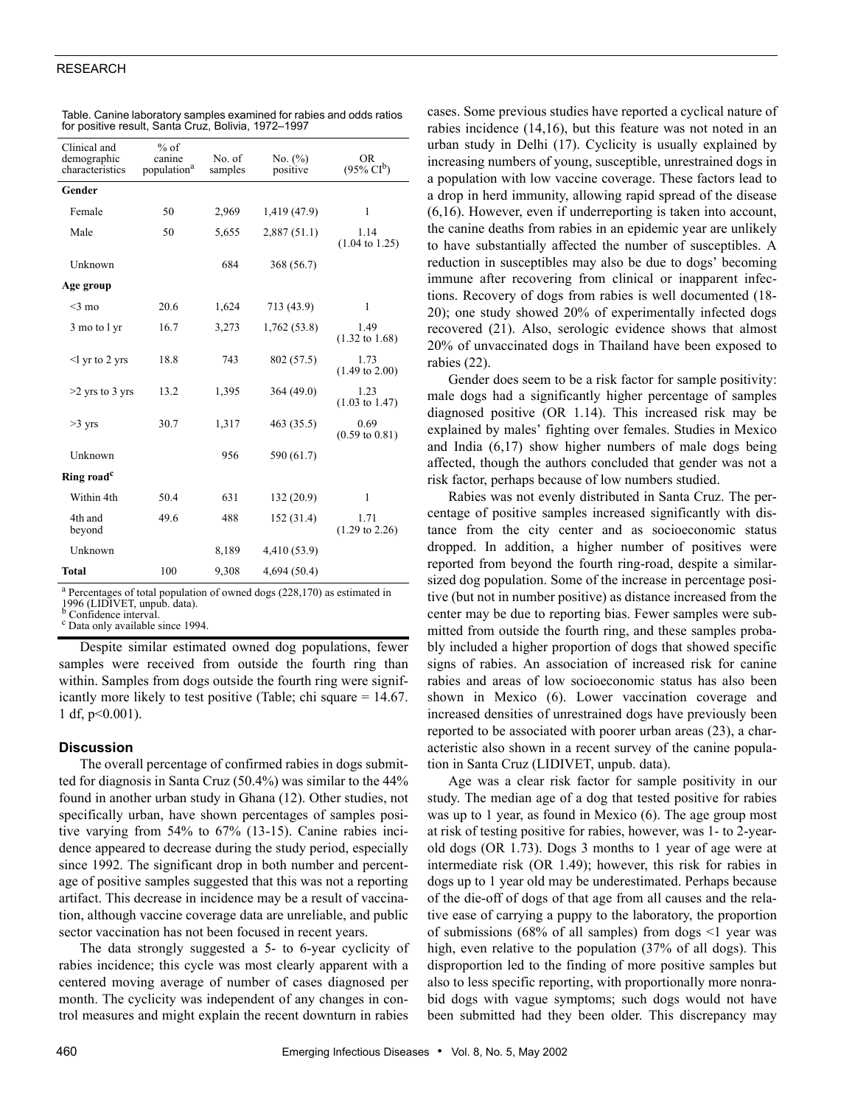# RESEARCH

| Clinical and<br>demographic<br>characteristics | $%$ of<br>canine<br>population <sup>a</sup> | No. of<br>samples | No. $(\%)$<br>positive | <b>OR</b><br>$(95\% \text{ CI}^{b})$ |
|------------------------------------------------|---------------------------------------------|-------------------|------------------------|--------------------------------------|
| Gender                                         |                                             |                   |                        |                                      |
| Female                                         | 50                                          | 2,969             | 1,419 (47.9)           | 1                                    |
| Male                                           | 50                                          | 5,655             | 2,887(51.1)            | 1.14<br>$(1.04 \text{ to } 1.25)$    |
| Unknown                                        |                                             | 684               | 368 (56.7)             |                                      |
| Age group                                      |                                             |                   |                        |                                      |
| $<$ 3 mo                                       | 20.6                                        | 1,624             | 713 (43.9)             | 1                                    |
| 3 mo to 1 yr                                   | 16.7                                        | 3,273             | 1,762 (53.8)           | 1.49<br>$(1.32 \text{ to } 1.68)$    |
| $\leq$ l yr to 2 yrs                           | 18.8                                        | 743               | 802 (57.5)             | 1.73<br>$(1.49 \text{ to } 2.00)$    |
| $>2$ yrs to 3 yrs                              | 13.2                                        | 1,395             | 364 (49.0)             | 1.23<br>$(1.03 \text{ to } 1.47)$    |
| $>3$ yrs                                       | 30.7                                        | 1,317             | 463 (35.5)             | 0.69<br>$(0.59 \text{ to } 0.81)$    |
| Unknown                                        |                                             | 956               | 590 (61.7)             |                                      |
| Ring road <sup>c</sup>                         |                                             |                   |                        |                                      |
| Within 4th                                     | 50.4                                        | 631               | 132(20.9)              | 1                                    |
| 4th and<br>beyond                              | 49.6                                        | 488               | 152 (31.4)             | 1.71<br>$(1.29 \text{ to } 2.26)$    |
| Unknown                                        |                                             | 8,189             | 4,410 (53.9)           |                                      |
| Total                                          | 100                                         | 9,308             | 4,694 (50.4)           |                                      |

| Table. Canine laboratory samples examined for rabies and odds ratios |
|----------------------------------------------------------------------|
| for positive result, Santa Cruz, Bolivia, 1972–1997                  |

<sup>a</sup> Percentages of total population of owned dogs (228,170) as estimated in 1996 (LIDIVET, unpub. data). b Confidence interval.

<sup>c</sup> Data only available since 1994.

Despite similar estimated owned dog populations, fewer samples were received from outside the fourth ring than within. Samples from dogs outside the fourth ring were significantly more likely to test positive (Table; chi square = 14.67. 1 df, p<0.001).

# **Discussion**

The overall percentage of confirmed rabies in dogs submitted for diagnosis in Santa Cruz (50.4%) was similar to the 44% found in another urban study in Ghana (12). Other studies, not specifically urban, have shown percentages of samples positive varying from 54% to 67% (13-15). Canine rabies incidence appeared to decrease during the study period, especially since 1992. The significant drop in both number and percentage of positive samples suggested that this was not a reporting artifact. This decrease in incidence may be a result of vaccination, although vaccine coverage data are unreliable, and public sector vaccination has not been focused in recent years.

The data strongly suggested a 5- to 6-year cyclicity of rabies incidence; this cycle was most clearly apparent with a centered moving average of number of cases diagnosed per month. The cyclicity was independent of any changes in control measures and might explain the recent downturn in rabies

cases. Some previous studies have reported a cyclical nature of rabies incidence (14,16), but this feature was not noted in an urban study in Delhi (17). Cyclicity is usually explained by increasing numbers of young, susceptible, unrestrained dogs in a population with low vaccine coverage. These factors lead to a drop in herd immunity, allowing rapid spread of the disease (6,16). However, even if underreporting is taken into account, the canine deaths from rabies in an epidemic year are unlikely to have substantially affected the number of susceptibles. A reduction in susceptibles may also be due to dogs' becoming immune after recovering from clinical or inapparent infections. Recovery of dogs from rabies is well documented (18- 20); one study showed 20% of experimentally infected dogs recovered (21). Also, serologic evidence shows that almost 20% of unvaccinated dogs in Thailand have been exposed to rabies (22).

Gender does seem to be a risk factor for sample positivity: male dogs had a significantly higher percentage of samples diagnosed positive (OR 1.14). This increased risk may be explained by males' fighting over females. Studies in Mexico and India (6,17) show higher numbers of male dogs being affected, though the authors concluded that gender was not a risk factor, perhaps because of low numbers studied.

Rabies was not evenly distributed in Santa Cruz. The percentage of positive samples increased significantly with distance from the city center and as socioeconomic status dropped. In addition, a higher number of positives were reported from beyond the fourth ring-road, despite a similarsized dog population. Some of the increase in percentage positive (but not in number positive) as distance increased from the center may be due to reporting bias. Fewer samples were submitted from outside the fourth ring, and these samples probably included a higher proportion of dogs that showed specific signs of rabies. An association of increased risk for canine rabies and areas of low socioeconomic status has also been shown in Mexico (6). Lower vaccination coverage and increased densities of unrestrained dogs have previously been reported to be associated with poorer urban areas (23), a characteristic also shown in a recent survey of the canine population in Santa Cruz (LIDIVET, unpub. data).

Age was a clear risk factor for sample positivity in our study. The median age of a dog that tested positive for rabies was up to 1 year, as found in Mexico (6). The age group most at risk of testing positive for rabies, however, was 1- to 2-yearold dogs (OR 1.73). Dogs 3 months to 1 year of age were at intermediate risk (OR 1.49); however, this risk for rabies in dogs up to 1 year old may be underestimated. Perhaps because of the die-off of dogs of that age from all causes and the relative ease of carrying a puppy to the laboratory, the proportion of submissions (68% of all samples) from dogs  $\leq$ 1 year was high, even relative to the population (37% of all dogs). This disproportion led to the finding of more positive samples but also to less specific reporting, with proportionally more nonrabid dogs with vague symptoms; such dogs would not have been submitted had they been older. This discrepancy may